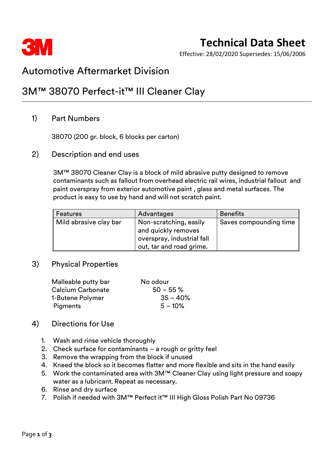

## **Technical Data Sheet**

Effective: 28/02/2020 Supersedes: 15/06/2006

### Automotive Aftermarket Division

### 3M™ 38070 Perfect-it™ III Cleaner Clay

### 1) Part Numbers

38070 (200 gr. block, 6 blocks per carton)

### 2) Description and end uses

3M™ 38070 Cleaner Clay is a block of mild abrasive putty designed to remove contaminants such as fallout from overhead electric rail wires, industrial fallout and paint overspray from exterior automotive paint , glass and metal surfaces. The product is easy to use by hand and will not scratch paint.

| <b>Features</b>        | Advantages                                                                                              | <b>Benefits</b>        |
|------------------------|---------------------------------------------------------------------------------------------------------|------------------------|
| Mild abrasive clay bar | Non-scratching, easily<br>and quickly removes<br>overspray, industrial fall<br>out, tar and road grime. | Saves compounding time |

#### 3) Physical Properties

| Malleable putty bar      | No odour     |
|--------------------------|--------------|
| <b>Calcium Carbonate</b> | $50 - 55 \%$ |
| 1-Butene Polymer         | $35 - 40%$   |
| <b>Pigments</b>          | $5 - 10\%$   |

### 4) Directions for Use

- 1. Wash and rinse vehicle thoroughly
- 2. Check surface for contaminants a rough or gritty feel
- 3. Remove the wrapping from the block if unused
- 4. Kneed the block so it becomes flatter and more flexible and sits in the hand easily
- 5. Work the contaminated area with 3M™ Cleaner Clay using light pressure and soapy water as a lubricant. Repeat as necessary.
- 6. Rinse and dry surface
- 7. Polish if needed with 3M™ Perfect it™ III High Gloss Polish Part No 09736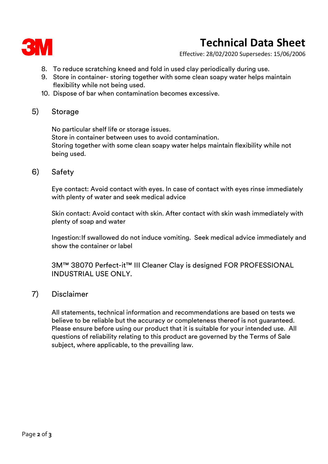

# **Technical Data Sheet**

Effective: 28/02/2020 Supersedes: 15/06/2006

- 8. To reduce scratching kneed and fold in used clay periodically during use.
- 9. Store in container- storing together with some clean soapy water helps maintain flexibility while not being used.
- 10. Dispose of bar when contamination becomes excessive.

### 5) Storage

No particular shelf life or storage issues. Store in container between uses to avoid contamination. Storing together with some clean soapy water helps maintain flexibility while not being used.

### 6) Safety

Eye contact: Avoid contact with eyes. In case of contact with eyes rinse immediately with plenty of water and seek medical advice

Skin contact: Avoid contact with skin. After contact with skin wash immediately with plenty of soap and water

Ingestion:If swallowed do not induce vomiting. Seek medical advice immediately and show the container or label

3M™ 38070 Perfect-it™ III Cleaner Clay is designed FOR PROFESSIONAL INDUSTRIAL USE ONLY.

### 7) Disclaimer

All statements, technical information and recommendations are based on tests we believe to be reliable but the accuracy or completeness thereof is not guaranteed. Please ensure before using our product that it is suitable for your intended use. All questions of reliability relating to this product are governed by the Terms of Sale subject, where applicable, to the prevailing law.